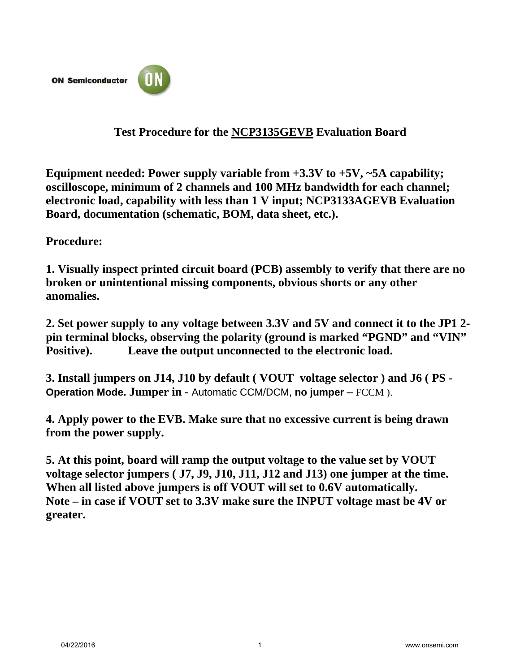

## **Test Procedure for the NCP3135GEVB Evaluation Board**

**Equipment needed: Power supply variable from +3.3V to +5V, ~5A capability; oscilloscope, minimum of 2 channels and 100 MHz bandwidth for each channel; electronic load, capability with less than 1 V input; NCP3133AGEVB Evaluation Board, documentation (schematic, BOM, data sheet, etc.).** 

**Procedure:**

**1. Visually inspect printed circuit board (PCB) assembly to verify that there are no broken or unintentional missing components, obvious shorts or any other anomalies.** 

**2. Set power supply to any voltage between 3.3V and 5V and connect it to the JP1 2 pin terminal blocks, observing the polarity (ground is marked "PGND" and "VIN" Positive). Leave the output unconnected to the electronic load.**

**3. Install jumpers on J14, J10 by default ( VOUT voltage selector ) and J6 ( PS - Operation Mode. Jumper in -** Automatic CCM/DCM, **no jumper –** FCCM ).

**4. Apply power to the EVB. Make sure that no excessive current is being drawn from the power supply.**

**5. At this point, board will ramp the output voltage to the value set by VOUT voltage selector jumpers ( J7, J9, J10, J11, J12 and J13) one jumper at the time. When all listed above jumpers is off VOUT will set to 0.6V automatically. Note – in case if VOUT set to 3.3V make sure the INPUT voltage mast be 4V or greater.**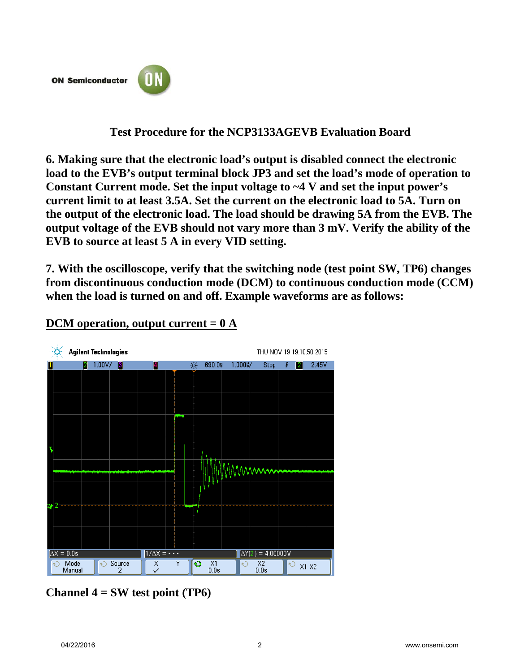**ON Semiconductor** 



# **Test Procedure for the NCP3133AGEVB Evaluation Board**

**6. Making sure that the electronic load's output is disabled connect the electronic load to the EVB's output terminal block JP3 and set the load's mode of operation to Constant Current mode. Set the input voltage to ~4 V and set the input power's current limit to at least 3.5A. Set the current on the electronic load to 5A. Turn on the output of the electronic load. The load should be drawing 5A from the EVB. The output voltage of the EVB should not vary more than 3 mV. Verify the ability of the EVB to source at least 5 A in every VID setting.**

**7. With the oscilloscope, verify that the switching node (test point SW, TP6) changes from discontinuous conduction mode (DCM) to continuous conduction mode (CCM) when the load is turned on and off. Example waveforms are as follows:**



### **DCM operation, output current = 0 A**

**Channel 4 = SW test point (TP6)**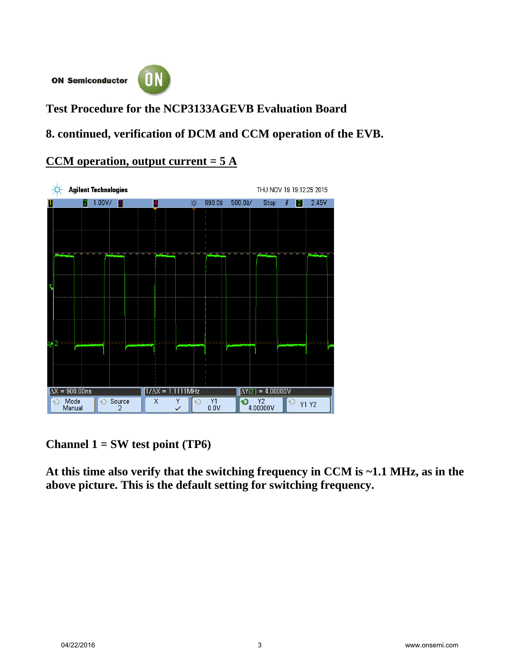**ON Semiconductor** 



**Test Procedure for the NCP3133AGEVB Evaluation Board**

**8. continued, verification of DCM and CCM operation of the EVB.**

### **CCM operation, output current = 5 A**



**Channel 1 = SW test point (TP6)** 

**At this time also verify that the switching frequency in CCM is ~1.1 MHz, as in the above picture. This is the default setting for switching frequency.**